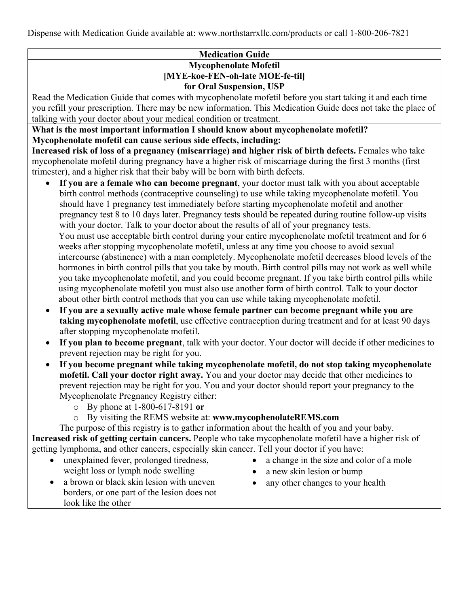<span id="page-0-1"></span>Dispense with Medication Guide available at: www.northstarrxllc.com/products or call 1-800-206-7821

### **Medication Guide Mycophenolate Mofetil [MYE-koe-FEN-oh-late MOE-fe-til] for Oral Suspension, USP**

Read the Medication Guide that comes with mycophenolate mofetil before you start taking it and each time you refill your prescription. There may be new information. This Medication Guide does not take the place of talking with your doctor about your medical condition or treatment.

<span id="page-0-0"></span>**What is the most important information I should know about mycophenolate mofetil? Mycophenolate mofetil can cause serious side effects, including:**

**Increased risk of loss of a pregnancy (miscarriage) and higher risk of birth defects.** Females who take mycophenolate mofetil during pregnancy have a higher risk of miscarriage during the first 3 months (first trimester), and a higher risk that their baby will be born with birth defects.

- **If you are a female who can become pregnant**, your doctor must talk with you about acceptable birth control methods (contraceptive counseling) to use while taking mycophenolate mofetil. You should have 1 pregnancy test immediately before starting mycophenolate mofetil and another pregnancy test 8 to 10 days later. Pregnancy tests should be repeated during routine follow-up visits with your doctor. Talk to your doctor about the results of all of your pregnancy tests. You must use acceptable birth control during your entire mycophenolate mofetil treatment and for 6 weeks after stopping mycophenolate mofetil, unless at any time you choose to avoid sexual intercourse (abstinence) with a man completely. Mycophenolate mofetil decreases blood levels of the hormones in birth control pills that you take by mouth. Birth control pills may not work as well while you take mycophenolate mofetil, and you could become pregnant. If you take birth control pills while using mycophenolate mofetil you must also use another form of birth control. Talk to your doctor about other birth control methods that you can use while taking mycophenolate mofetil.
- **If you are a sexually active male whose female partner can become pregnant while you are taking mycophenolate mofetil**, use effective contraception during treatment and for at least 90 days after stopping mycophenolate mofetil.
- **If you plan to become pregnant**, talk with your doctor. Your doctor will decide if other medicines to prevent rejection may be right for you.
- **If you become pregnant while taking mycophenolate mofetil, do not stop taking mycophenolate mofetil. Call your doctor right away.** You and your doctor may decide that other medicines to prevent rejection may be right for you. You and your doctor should report your pregnancy to the Mycophenolate Pregnancy Registry either:
	- o By phone at 1-800-617-8191 **or**
	- o By visiting the REMS website at: **www.mycophenolateREMS.com**

The purpose of this registry is to gather information about the health of you and your baby. **Increased risk of getting certain cancers.** People who take mycophenolate mofetil have a higher risk of getting lymphoma, and other cancers, especially skin cancer. Tell your doctor if you have:

- unexplained fever, prolonged tiredness, weight loss or lymph node swelling
- a change in the size and color of a mole
- a new skin lesion or bump
- a brown or black skin lesion with uneven borders, or one part of the lesion does not look like the other
- any other changes to your health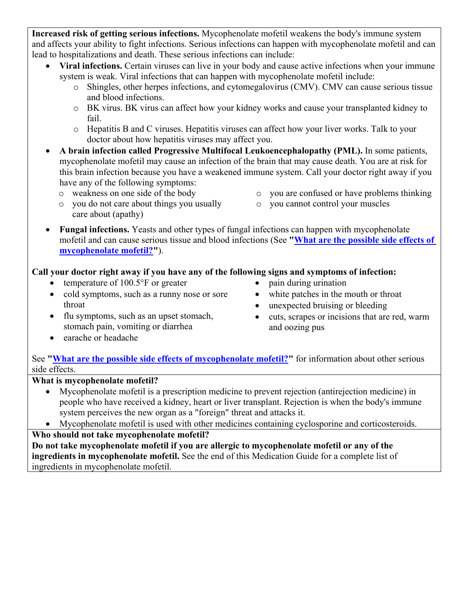**Increased risk of getting serious infections.** Mycophenolate mofetil weakens the body's immune system and affects your ability to fight infections. Serious infections can happen with mycophenolate mofetil and can lead to hospitalizations and death. These serious infections can include:

- **Viral infections.** Certain viruses can live in your body and cause active infections when your immune system is weak. Viral infections that can happen with mycophenolate mofetil include:
	- o Shingles, other herpes infections, and cytomegalovirus (CMV). CMV can cause serious tissue and blood infections.
	- o BK virus. BK virus can affect how your kidney works and cause your transplanted kidney to fail.
	- o Hepatitis B and C viruses. Hepatitis viruses can affect how your liver works. Talk to your doctor about how hepatitis viruses may affect you.
- **A brain infection called Progressive Multifocal Leukoencephalopathy (PML).** In some patients, mycophenolate mofetil may cause an infection of the brain that may cause death. You are at risk for this brain infection because you have a weakened immune system. Call your doctor right away if you have any of the following symptoms:
	- o weakness on one side of the body
	- o you do not care about things you usually care about (apathy)
- o you are confused or have problems thinking
- o you cannot control your muscles
- **Fungal infections.** Yeasts and other types of fungal infections can happen with mycophenolate mofetil and can cause serious tissue and blood infections (See **["What are the possible side effects of](#page-3-0)  [mycophenolate mofetil?"](#page-3-0)**).

# **Call your doctor right away if you have any of the following signs and symptoms of infection:**

- temperature of 100.5°F or greater
- cold symptoms, such as a runny nose or sore throat
- flu symptoms, such as an upset stomach, stomach pain, vomiting or diarrhea
- pain during urination
- white patches in the mouth or throat
- unexpected bruising or bleeding
- cuts, scrapes or incisions that are red, warm and oozing pus

• earache or headache

See **["What are the possible side effects of mycophenolate mofetil?"](#page-3-0)** for information about other serious side effects.

## **What is mycophenolate mofetil?**

- Mycophenolate mofetil is a prescription medicine to prevent rejection (antirejection medicine) in people who have received a kidney, heart or liver transplant. Rejection is when the body's immune system perceives the new organ as a "foreign" threat and attacks it.
- Mycophenolate mofetil is used with other medicines containing cyclosporine and corticosteroids.

# **Who should not take mycophenolate mofetil?**

**Do not take mycophenolate mofetil if you are allergic to mycophenolate mofetil or any of the ingredients in mycophenolate mofetil.** See the end of this Medication Guide for a complete list of ingredients in mycophenolate mofetil.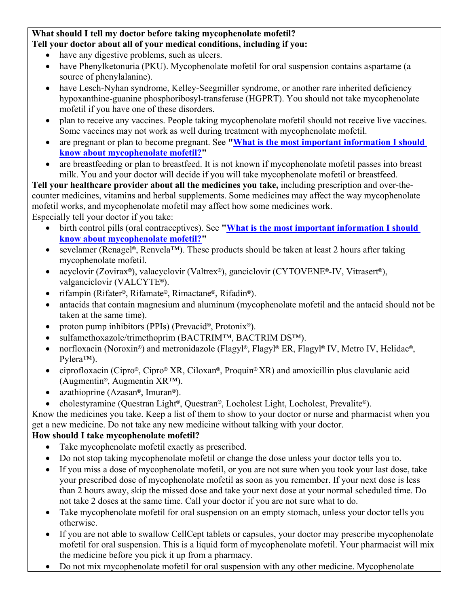### **What should I tell my doctor before taking mycophenolate mofetil? Tell your doctor about all of your medical conditions, including if you:**

- have any digestive problems, such as ulcers.
- have Phenylketonuria (PKU). Mycophenolate mofetil for oral suspension contains aspartame (a source of phenylalanine).
- have Lesch-Nyhan syndrome, Kelley-Seegmiller syndrome, or another rare inherited deficiency hypoxanthine-guanine phosphoribosyl-transferase (HGPRT). You should not take mycophenolate mofetil if you have one of these disorders.
- plan to receive any vaccines. People taking mycophenolate mofetil should not receive live vaccines. Some vaccines may not work as well during treatment with mycophenolate mofetil.
- are pregnant or plan to become pregnant. See **["What is the most important information I should](#page-0-0)  [know about mycophenolate mofetil?"](#page-0-0)**
- are breastfeeding or plan to breastfeed. It is not known if mycophenolate mofetil passes into breast milk. You and your doctor will decide if you will take mycophenolate mofetil or breastfeed.

**Tell your healthcare provider about all the medicines you take,** including prescription and over-thecounter medicines, vitamins and herbal supplements. Some medicines may affect the way mycophenolate mofetil works, and mycophenolate mofetil may affect how some medicines work. Especially tell your doctor if you take:

- birth control pills (oral contraceptives). See **["What is the most important information I should](#page-0-0)  [know about mycophenolate](#page-0-0) mofetil?"**
- sevelamer (Renagel®, Renvela™). These products should be taken at least 2 hours after taking mycophenolate mofetil.
- acyclovir (Zovirax®), valacyclovir (Valtrex®), ganciclovir (CYTOVENE®-IV, Vitrasert®), valganciclovir (VALCYTE®).
- rifampin (Rifater®, Rifamate®, Rimactane®, Rifadin®).
- antacids that contain magnesium and aluminum (mycophenolate mofetil and the antacid should not be taken at the same time).
- proton pump inhibitors (PPIs) (Prevacid<sup>®</sup>, Protonix<sup>®</sup>).
- sulfamethoxazole/trimethoprim (BACTRIM™, BACTRIM DS™).
- norfloxacin (Noroxin®) and metronidazole (Flagyl®, Flagyl® ER, Flagyl® IV, Metro IV, Helidac®, Pylera™).
- ciprofloxacin (Cipro®, Cipro® XR, Ciloxan®, Proquin® XR) and amoxicillin plus clavulanic acid (Augmentin®, Augmentin XR™).
- azathioprine (Azasan®, Imuran®).
- cholestyramine (Questran Light®, Questran®, Locholest Light, Locholest, Prevalite®).

Know the medicines you take. Keep a list of them to show to your doctor or nurse and pharmacist when you get a new medicine. Do not take any new medicine without talking with your doctor.

# **How should I take mycophenolate mofetil?**

- Take mycophenolate mofetil exactly as prescribed.
- Do not stop taking mycophenolate mofetil or change the dose unless your doctor tells you to.
- If you miss a dose of mycophenolate mofetil, or you are not sure when you took your last dose, take your prescribed dose of mycophenolate mofetil as soon as you remember. If your next dose is less than 2 hours away, skip the missed dose and take your next dose at your normal scheduled time. Do not take 2 doses at the same time. Call your doctor if you are not sure what to do.
- Take mycophenolate mofetil for oral suspension on an empty stomach, unless your doctor tells you otherwise.
- If you are not able to swallow CellCept tablets or capsules, your doctor may prescribe mycophenolate mofetil for oral suspension. This is a liquid form of mycophenolate mofetil. Your pharmacist will mix the medicine before you pick it up from a pharmacy.
- Do not mix mycophenolate mofetil for oral suspension with any other medicine. Mycophenolate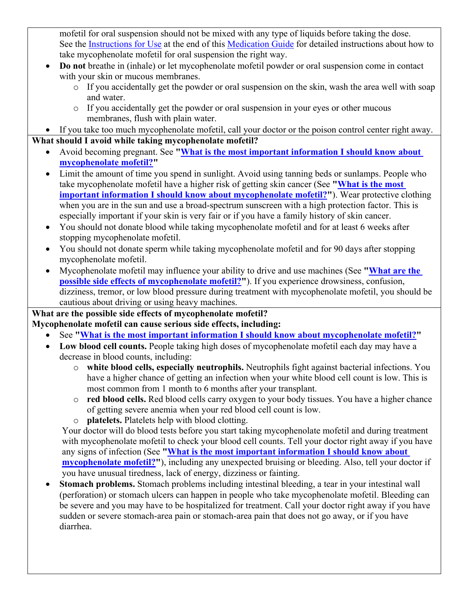mofetil for oral suspension should not be mixed with any type of liquids before taking the dose. See the [Instructions for Use](#page-4-0) at the end of this [Medication Guide](#page-0-1) for detailed instructions about how to take mycophenolate mofetil for oral suspension the right way.

- **Do not** breathe in (inhale) or let mycophenolate mofetil powder or oral suspension come in contact with your skin or mucous membranes.
	- o If you accidentally get the powder or oral suspension on the skin, wash the area well with soap and water.
	- o If you accidentally get the powder or oral suspension in your eyes or other mucous membranes, flush with plain water.
- If you take too much mycophenolate mofetil, call your doctor or the poison control center right away. **What should I avoid while taking mycophenolate mofetil?**
	- Avoid becoming pregnant. See **["What is the most important information I should know about](#page-0-0)  [mycophenolate mofetil?"](#page-0-0)**
	- Limit the amount of time you spend in sunlight. Avoid using tanning beds or sunlamps. People who take mycophenolate mofetil have a higher risk of getting skin cancer (See **["What is the most](#page-0-0)  important [information I should know about mycophenolate mofetil?"](#page-0-0)**). Wear protective clothing when you are in the sun and use a broad-spectrum sunscreen with a high protection factor. This is especially important if your skin is very fair or if you have a family history of skin cancer.
	- You should not donate blood while taking mycophenolate mofetil and for at least 6 weeks after stopping mycophenolate mofetil.
	- You should not donate sperm while taking mycophenolate mofetil and for 90 days after stopping mycophenolate mofetil.
	- Mycophenolate mofetil may influence your ability to drive and use machines (See **["What are the](#page-3-0)  [possible side effects of mycophenolate mofetil?"](#page-3-0)**). If you experience drowsiness, confusion, dizziness, tremor, or low blood pressure during treatment with mycophenolate mofetil, you should be cautious about driving or using heavy machines.

# <span id="page-3-0"></span>**What are the possible side effects of mycophenolate mofetil?**

**Mycophenolate mofetil can cause serious side effects, including:**

- See **["What is the most important information I should know about mycophenolate mofetil?"](#page-0-0)**
- **Low blood cell counts.** People taking high doses of mycophenolate mofetil each day may have a decrease in blood counts, including:
	- o **white blood cells, especially neutrophils.** Neutrophils fight against bacterial infections. You have a higher chance of getting an infection when your white blood cell count is low. This is most common from 1 month to 6 months after your transplant.
	- o **red blood cells.** Red blood cells carry oxygen to your body tissues. You have a higher chance of getting severe anemia when your red blood cell count is low.
	- o **platelets.** Platelets help with blood clotting.

Your doctor will do blood tests before you start taking mycophenolate mofetil and during treatment with mycophenolate mofetil to check your blood cell counts. Tell your doctor right away if you have any signs of infection (See **["What is the most important information I should know about](#page-0-0)  [mycophenolate mofetil?"](#page-0-0)**), including any unexpected bruising or bleeding. Also, tell your doctor if you have unusual tiredness, lack of energy, dizziness or fainting.

• **Stomach problems.** Stomach problems including intestinal bleeding, a tear in your intestinal wall (perforation) or stomach ulcers can happen in people who take mycophenolate mofetil. Bleeding can be severe and you may have to be hospitalized for treatment. Call your doctor right away if you have sudden or severe stomach-area pain or stomach-area pain that does not go away, or if you have diarrhea.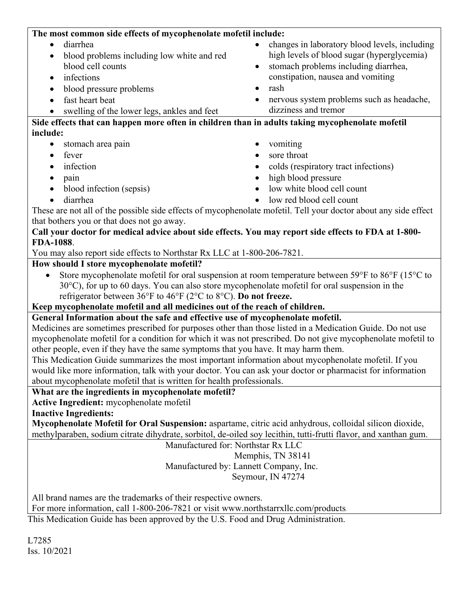| The most common side effects of mycophenolate mofetil include:                                                                                                                                                                                                       |                                                            |
|----------------------------------------------------------------------------------------------------------------------------------------------------------------------------------------------------------------------------------------------------------------------|------------------------------------------------------------|
| diarrhea<br>$\bullet$                                                                                                                                                                                                                                                | changes in laboratory blood levels, including<br>$\bullet$ |
| blood problems including low white and red<br>$\bullet$                                                                                                                                                                                                              | high levels of blood sugar (hyperglycemia)                 |
| blood cell counts                                                                                                                                                                                                                                                    | stomach problems including diarrhea,<br>$\bullet$          |
| infections<br>٠                                                                                                                                                                                                                                                      | constipation, nausea and vomiting                          |
| blood pressure problems<br>$\bullet$                                                                                                                                                                                                                                 | rash<br>$\bullet$                                          |
| fast heart beat<br>$\bullet$                                                                                                                                                                                                                                         | nervous system problems such as headache,<br>٠             |
| swelling of the lower legs, ankles and feet                                                                                                                                                                                                                          | dizziness and tremor                                       |
| Side effects that can happen more often in children than in adults taking mycophenolate mofetil                                                                                                                                                                      |                                                            |
| include:                                                                                                                                                                                                                                                             |                                                            |
| stomach area pain<br>٠                                                                                                                                                                                                                                               | vomiting<br>$\bullet$                                      |
| fever<br>$\bullet$                                                                                                                                                                                                                                                   | sore throat                                                |
| infection<br>$\bullet$                                                                                                                                                                                                                                               | colds (respiratory tract infections)<br>$\bullet$          |
| pain<br>$\bullet$                                                                                                                                                                                                                                                    | high blood pressure<br>$\bullet$                           |
| blood infection (sepsis)<br>$\bullet$                                                                                                                                                                                                                                | low white blood cell count                                 |
| diarrhea<br>$\bullet$                                                                                                                                                                                                                                                | low red blood cell count                                   |
| These are not all of the possible side effects of mycophenolate mofetil. Tell your doctor about any side effect                                                                                                                                                      |                                                            |
| that bothers you or that does not go away.                                                                                                                                                                                                                           |                                                            |
| Call your doctor for medical advice about side effects. You may report side effects to FDA at 1-800-<br>FDA-1088.                                                                                                                                                    |                                                            |
| You may also report side effects to Northstar Rx LLC at 1-800-206-7821.                                                                                                                                                                                              |                                                            |
| How should I store mycophenolate mofetil?                                                                                                                                                                                                                            |                                                            |
| Store mycophenolate mofetil for oral suspension at room temperature between 59°F to 86°F (15°C to<br>30°C), for up to 60 days. You can also store mycophenolate mofetil for oral suspension in the<br>refrigerator between 36°F to 46°F (2°C to 8°C). Do not freeze. |                                                            |
| Keep mycophenolate mofetil and all medicines out of the reach of children.                                                                                                                                                                                           |                                                            |
| General Information about the safe and effective use of mycophenolate mofetil.                                                                                                                                                                                       |                                                            |
| Medicines are sometimes prescribed for purposes other than those listed in a Medication Guide. Do not use                                                                                                                                                            |                                                            |
| mycophenolate mofetil for a condition for which it was not prescribed. Do not give mycophenolate mofetil to                                                                                                                                                          |                                                            |
| other people, even if they have the same symptoms that you have. It may harm them.                                                                                                                                                                                   |                                                            |
| This Medication Guide summarizes the most important information about mycophenolate mofetil. If you                                                                                                                                                                  |                                                            |
| would like more information, talk with your doctor. You can ask your doctor or pharmacist for information                                                                                                                                                            |                                                            |
| about mycophenolate mofetil that is written for health professionals.                                                                                                                                                                                                |                                                            |
| What are the ingredients in mycophenolate mofetil?<br>Active Ingredient: mycophenolate mofetil                                                                                                                                                                       |                                                            |
| <b>Inactive Ingredients:</b>                                                                                                                                                                                                                                         |                                                            |
| Mycophenolate Mofetil for Oral Suspension: aspartame, citric acid anhydrous, colloidal silicon dioxide,                                                                                                                                                              |                                                            |
| methylparaben, sodium citrate dihydrate, sorbitol, de-oiled soy lecithin, tutti-frutti flavor, and xanthan gum.                                                                                                                                                      |                                                            |
| Manufactured for: Northstar Rx LLC                                                                                                                                                                                                                                   |                                                            |
| Memphis, TN 38141                                                                                                                                                                                                                                                    |                                                            |
| Manufactured by: Lannett Company, Inc.                                                                                                                                                                                                                               |                                                            |
| Seymour, IN 47274                                                                                                                                                                                                                                                    |                                                            |
| All brand names are the trademarks of their respective owners.                                                                                                                                                                                                       |                                                            |
| For more information, call 1-800-206-7821 or visit www.northstarrxllc.com/products.                                                                                                                                                                                  |                                                            |
| This Medication Guide has been approved by the U.S. Food and Drug Administration.                                                                                                                                                                                    |                                                            |

<span id="page-4-0"></span>L7285 Iss. 10/2021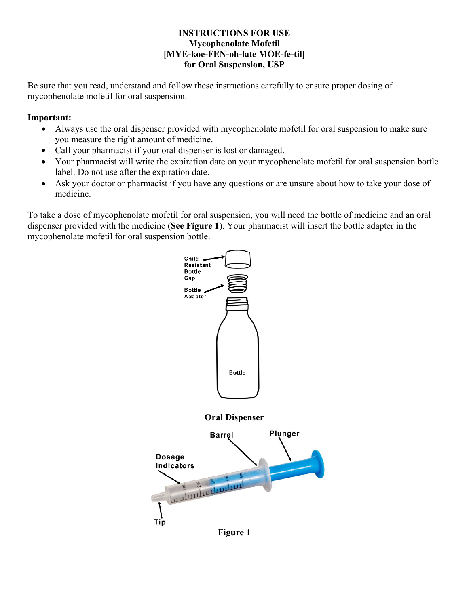### **INSTRUCTIONS FOR USE Mycophenolate Mofetil [MYE-koe-FEN-oh-late MOE-fe-til] for Oral Suspension, USP**

Be sure that you read, understand and follow these instructions carefully to ensure proper dosing of mycophenolate mofetil for oral suspension.

### **Important:**

- Always use the oral dispenser provided with mycophenolate mofetil for oral suspension to make sure you measure the right amount of medicine.
- Call your pharmacist if your oral dispenser is lost or damaged.
- Your pharmacist will write the expiration date on your mycophenolate mofetil for oral suspension bottle label. Do not use after the expiration date.
- Ask your doctor or pharmacist if you have any questions or are unsure about how to take your dose of medicine.

To take a dose of mycophenolate mofetil for oral suspension, you will need the bottle of medicine and an oral dispenser provided with the medicine (**See Figure 1**). Your pharmacist will insert the bottle adapter in the mycophenolate mofetil for oral suspension bottle.



**Figure 1**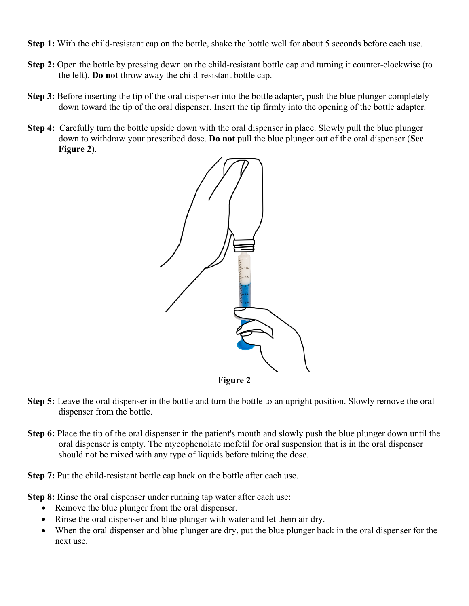- **Step 1:** With the child-resistant cap on the bottle, shake the bottle well for about 5 seconds before each use.
- **Step 2:** Open the bottle by pressing down on the child-resistant bottle cap and turning it counter-clockwise (to the left). **Do not** throw away the child-resistant bottle cap.
- **Step 3:** Before inserting the tip of the oral dispenser into the bottle adapter, push the blue plunger completely down toward the tip of the oral dispenser. Insert the tip firmly into the opening of the bottle adapter.
- **Step 4:** Carefully turn the bottle upside down with the oral dispenser in place. Slowly pull the blue plunger down to withdraw your prescribed dose. **Do not** pull the blue plunger out of the oral dispenser (**See Figure 2**).



- **Step 5:** Leave the oral dispenser in the bottle and turn the bottle to an upright position. Slowly remove the oral dispenser from the bottle.
- **Step 6:** Place the tip of the oral dispenser in the patient's mouth and slowly push the blue plunger down until the oral dispenser is empty. The mycophenolate mofetil for oral suspension that is in the oral dispenser should not be mixed with any type of liquids before taking the dose.
- **Step 7:** Put the child-resistant bottle cap back on the bottle after each use.

**Step 8:** Rinse the oral dispenser under running tap water after each use:

- Remove the blue plunger from the oral dispenser.
- Rinse the oral dispenser and blue plunger with water and let them air dry.
- When the oral dispenser and blue plunger are dry, put the blue plunger back in the oral dispenser for the next use.